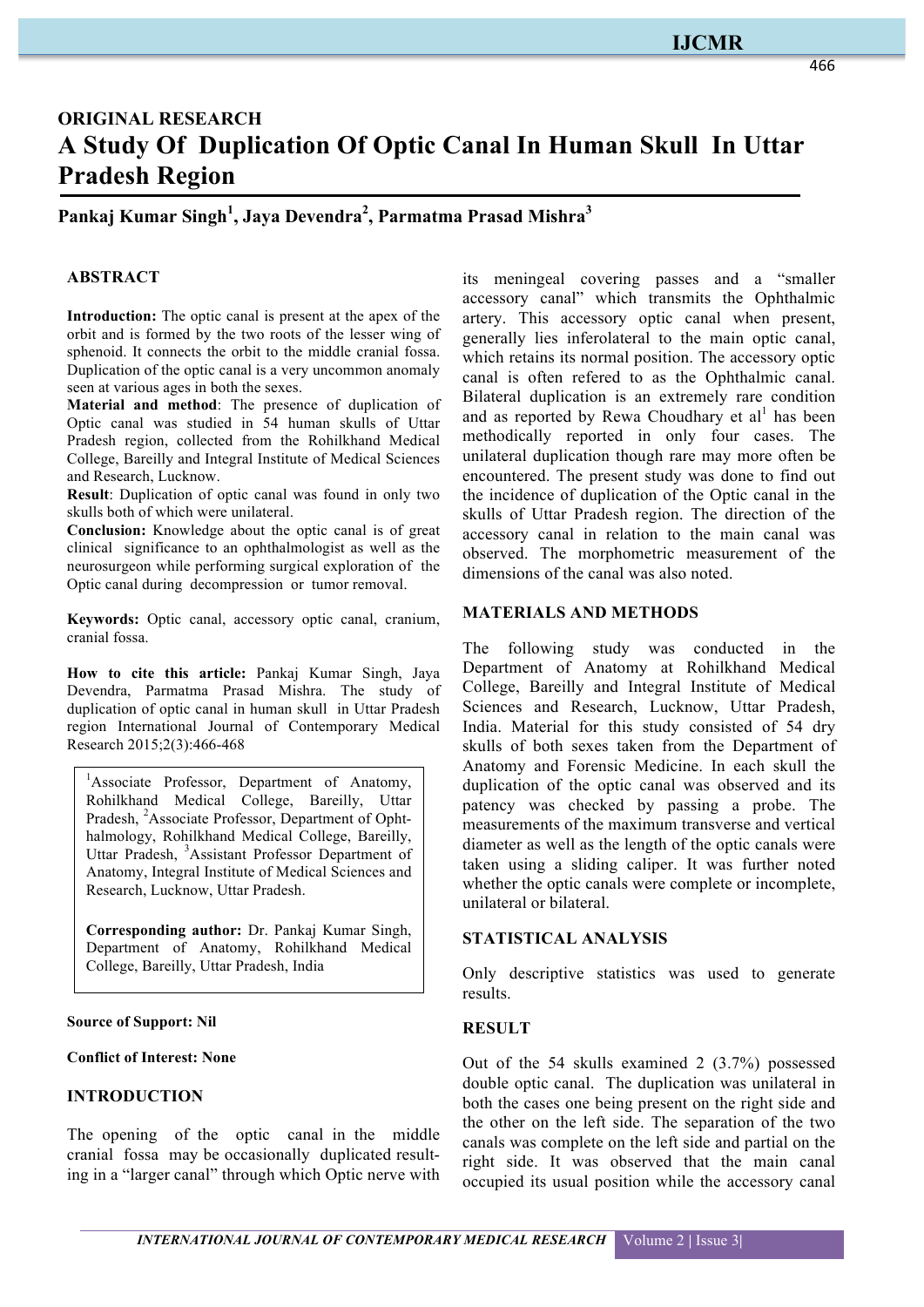## **IJCMR**

# **ORIGINAL RESEARCH A Study Of Duplication Of Optic Canal In Human Skull In Uttar Pradesh Region**

**Pankaj Kumar Singh<sup>1</sup> , Jaya Devendra<sup>2</sup> , Parmatma Prasad Mishra<sup>3</sup>**

## **ABSTRACT**

**Introduction:** The optic canal is present at the apex of the orbit and is formed by the two roots of the lesser wing of sphenoid. It connects the orbit to the middle cranial fossa. Duplication of the optic canal is a very uncommon anomaly seen at various ages in both the sexes.

**Material and method**: The presence of duplication of Optic canal was studied in 54 human skulls of Uttar Pradesh region, collected from the Rohilkhand Medical College, Bareilly and Integral Institute of Medical Sciences and Research, Lucknow.

**Result**: Duplication of optic canal was found in only two skulls both of which were unilateral.

**Conclusion:** Knowledge about the optic canal is of great clinical significance to an ophthalmologist as well as the neurosurgeon while performing surgical exploration of the Optic canal during decompression or tumor removal.

**Keywords:** Optic canal, accessory optic canal, cranium, cranial fossa.

**How to cite this article:** Pankaj Kumar Singh, Jaya Devendra, Parmatma Prasad Mishra. The study of duplication of optic canal in human skull in Uttar Pradesh region International Journal of Contemporary Medical Research 2015;2(3):466-468

<sup>1</sup>Associate Professor, Department of Anatomy, Rohilkhand Medical College, Bareilly, Uttar Pradesh, <sup>2</sup>Associate Professor, Department of Ophthalmology, Rohilkhand Medical College, Bareilly, Uttar Pradesh, <sup>3</sup>Assistant Professor Department of Anatomy, Integral Institute of Medical Sciences and Research, Lucknow, Uttar Pradesh.

**Corresponding author:** Dr. Pankaj Kumar Singh, Department of Anatomy, Rohilkhand Medical College, Bareilly, Uttar Pradesh, India

#### **Source of Support: Nil**

**Conflict of Interest: None**

## **INTRODUCTION**

The opening of the optic canal in the middle cranial fossa may be occasionally duplicated resulting in a "larger canal" through which Optic nerve with

its meningeal covering passes and a "smaller accessory canal" which transmits the Ophthalmic artery. This accessory optic canal when present, generally lies inferolateral to the main optic canal, which retains its normal position. The accessory optic canal is often refered to as the Ophthalmic canal. Bilateral duplication is an extremely rare condition and as reported by Rewa Choudhary et  $al<sup>1</sup>$  has been methodically reported in only four cases. The unilateral duplication though rare may more often be encountered. The present study was done to find out the incidence of duplication of the Optic canal in the skulls of Uttar Pradesh region. The direction of the accessory canal in relation to the main canal was observed. The morphometric measurement of the dimensions of the canal was also noted.

#### **MATERIALS AND METHODS**

The following study was conducted in the Department of Anatomy at Rohilkhand Medical College, Bareilly and Integral Institute of Medical Sciences and Research, Lucknow, Uttar Pradesh, India. Material for this study consisted of 54 dry skulls of both sexes taken from the Department of Anatomy and Forensic Medicine. In each skull the duplication of the optic canal was observed and its patency was checked by passing a probe. The measurements of the maximum transverse and vertical diameter as well as the length of the optic canals were taken using a sliding caliper. It was further noted whether the optic canals were complete or incomplete, unilateral or bilateral.

#### **STATISTICAL ANALYSIS**

Only descriptive statistics was used to generate results.

## **RESULT**

Out of the 54 skulls examined 2 (3.7%) possessed double optic canal. The duplication was unilateral in both the cases one being present on the right side and the other on the left side. The separation of the two canals was complete on the left side and partial on the right side. It was observed that the main canal occupied its usual position while the accessory canal